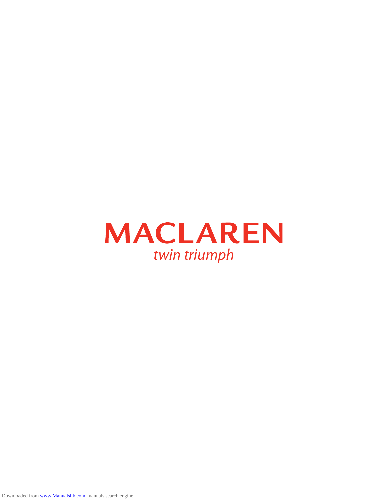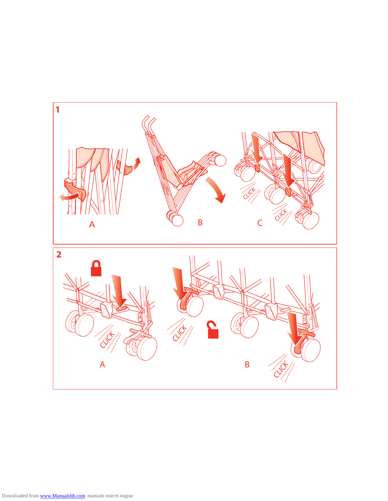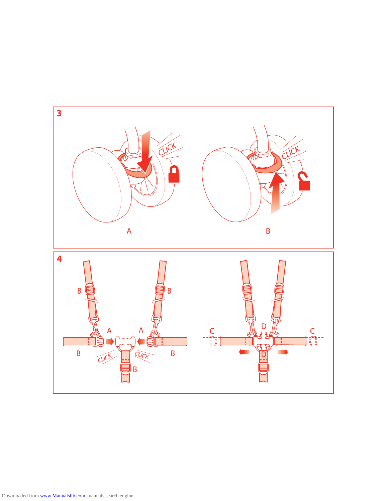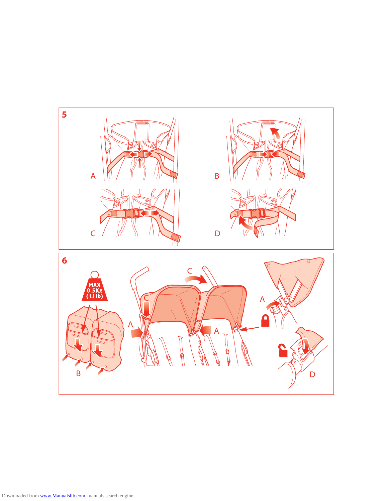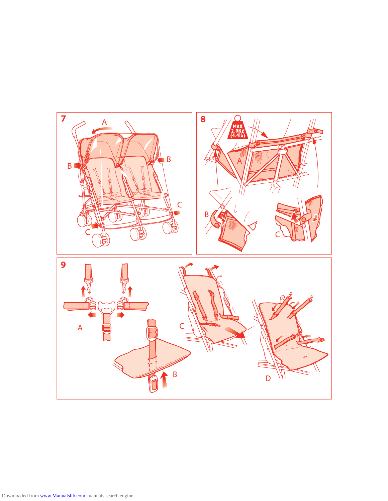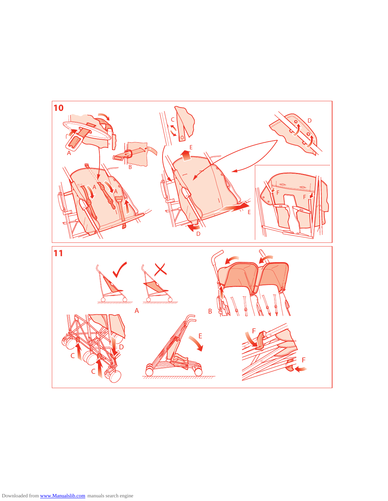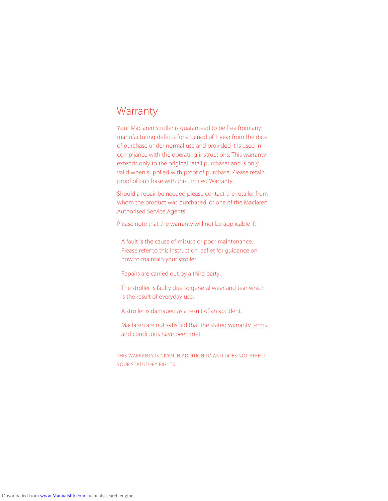### Warranty

Your Maclaren stroller is guaranteed to be free from any manufacturing defects for a period of 1 year from the date of purchase under normal use and provided it is used in compliance with the operating instructions. This warranty extends only to the original retail purchaser and is only valid when supplied with proof of purchase. Please retain proof of purchase with this Limited Warranty.

Should a repair be needed please contact the retailer from whom the product was purchased, or one of the Maclaren Authorised Service Agents.

Please note that the warranty will not be applicable if:

 A fault is the cause of misuse or poor maintenance. Please refer to this instruction leaflet for guidance on how to maintain your stroller.

Repairs are carried out by a third party.

 The stroller is faulty due to general wear and tear which is the result of everyday use.

A stroller is damaged as a result of an accident.

 Maclaren are not satisfied that the stated warranty terms and conditions have been met.

THIS WARRANTY IS GIVEN IN ADDITION TO AND DOES NOT AFFECT YOUR STATUTORY RIGHTS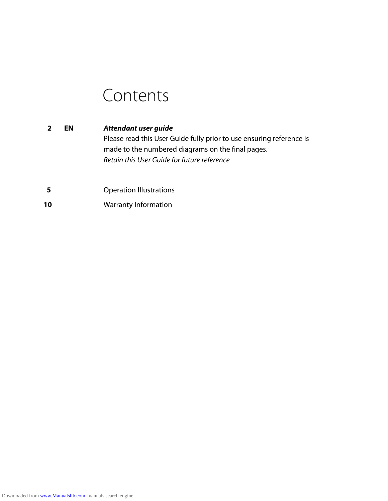# Contents

- **2 EN** *Attendant user guide* Please read this User Guide fully prior to use ensuring reference is made to the numbered diagrams on the final pages.  *Retain this User Guide for future reference*
- **5** Operation Illustrations
- **10** Warranty Information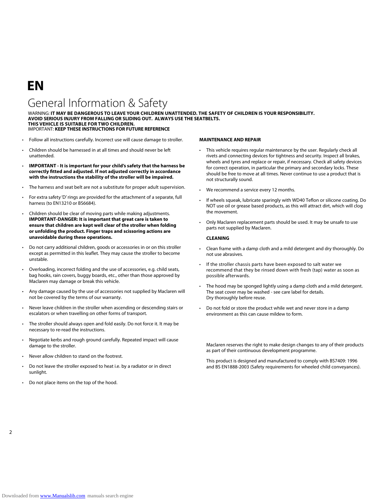## **EN**

### General Information & Safety

WARNING: **IT MAY BE DANGEROUS TO LEAVE YOUR CHILDREN UNATTENDED. THE SAFETY OF CHILDREN IS YOUR RESPONSIBILITY. AVOID SERIOUS INJURY FROM FALLING OR SLIDING OUT. ALWAYS USE THE SEATBELTS. THIS VEHICLE IS SUITABLE FOR TWO CHILDREN.** IMPORTANT: **KEEP THESE INSTRUCTIONS FOR FUTURE REFERENCE**

- Follow all instructions carefully. Incorrect use will cause damage to stroller.
- Children should be harnessed in at all times and should never be left unattended.
- **IMPORTANT It is important for your child's safety that the harness be correctly fitted and adjusted. If not adjusted correctly in accordance with the instructions the stability of the stroller will be impaired.**
- The harness and seat belt are not a substitute for proper adult supervision.
- For extra safety 'D' rings are provided for the attachment of a separate, full harness (to EN13210 or BS6684).
- Children should be clear of moving parts while making adjustments. **IMPORTANT-DANGER: It is important that great care is taken to ensure that children are kept well clear of the stroller when folding or unfolding the product. Finger traps and scissoring actions are unavoidable during these operations.**
- Do not carry additional children, goods or accessories in or on this stroller except as permitted in this leaflet. They may cause the stroller to become unstable.
- Overloading, incorrect folding and the use of accessories, e.g. child seats, bag hooks, rain covers, buggy boards, etc., other than those approved by Maclaren may damage or break this vehicle.
- Any damage caused by the use of accessories not supplied by Maclaren will not be covered by the terms of our warranty.
- Never leave children in the stroller when ascending or descending stairs or escalators or when travelling on other forms of transport.
- The stroller should always open and fold easily. Do not force it. It may be necessary to re-read the instructions.
- Negotiate kerbs and rough ground carefully. Repeated impact will cause damage to the stroller.
- Never allow children to stand on the footrest.
- Do not leave the stroller exposed to heat i.e. by a radiator or in direct sunlight.
- Do not place items on the top of the hood.

#### **MAINTENANCE AND REPAIR**

- This vehicle requires regular maintenance by the user. Regularly check all rivets and connecting devices for tightness and security. Inspect all brakes, wheels and tyres and replace or repair, if necessary. Check all safety devices for correct operation, in particular the primary and secondary locks. These should be free to move at all times. Never continue to use a product that is not structurally sound.
- We recommend a service every 12 months.
- If wheels squeak, lubricate sparingly with WD40 Teflon or silicone coating. Do NOT use oil or grease based products, as this will attract dirt, which will clog the movement.
- Only Maclaren replacement parts should be used. It may be unsafe to use parts not supplied by Maclaren.

#### **CLEANING**

- Clean frame with a damp cloth and a mild detergent and dry thoroughly. Do not use abrasives.
- If the stroller chassis parts have been exposed to salt water we recommend that they be rinsed down with fresh (tap) water as soon as possible afterwards.
- The hood may be sponged lightly using a damp cloth and a mild detergent. The seat cover may be washed - see care label for details. Dry thoroughly before reuse.
- Do not fold or store the product while wet and never store in a damp environment as this can cause mildew to form.

Maclaren reserves the right to make design changes to any of their products as part of their continuous development programme.

This product is designed and manufactured to comply with BS7409: 1996 and BS EN1888-2003 (Safety requirements for wheeled child conveyances).

2